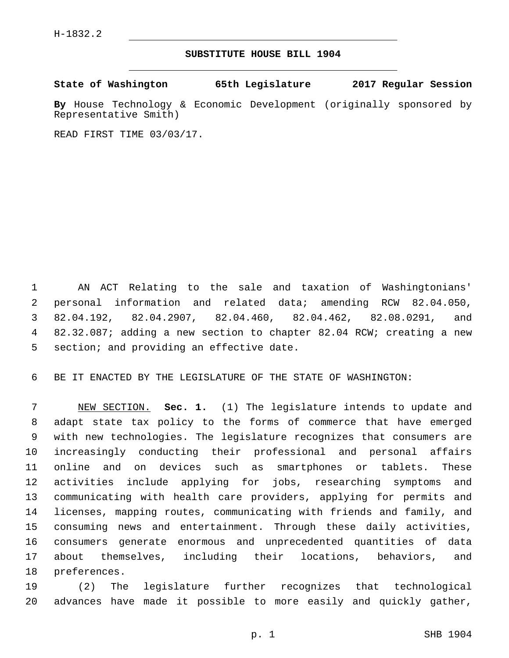## **SUBSTITUTE HOUSE BILL 1904**

**State of Washington 65th Legislature 2017 Regular Session**

**By** House Technology & Economic Development (originally sponsored by Representative Smith)

READ FIRST TIME 03/03/17.

 AN ACT Relating to the sale and taxation of Washingtonians' personal information and related data; amending RCW 82.04.050, 82.04.192, 82.04.2907, 82.04.460, 82.04.462, 82.08.0291, and 82.32.087; adding a new section to chapter 82.04 RCW; creating a new 5 section; and providing an effective date.

BE IT ENACTED BY THE LEGISLATURE OF THE STATE OF WASHINGTON:

 NEW SECTION. **Sec. 1.** (1) The legislature intends to update and adapt state tax policy to the forms of commerce that have emerged with new technologies. The legislature recognizes that consumers are increasingly conducting their professional and personal affairs online and on devices such as smartphones or tablets. These activities include applying for jobs, researching symptoms and communicating with health care providers, applying for permits and licenses, mapping routes, communicating with friends and family, and consuming news and entertainment. Through these daily activities, consumers generate enormous and unprecedented quantities of data about themselves, including their locations, behaviors, and 18 preferences.

 (2) The legislature further recognizes that technological advances have made it possible to more easily and quickly gather,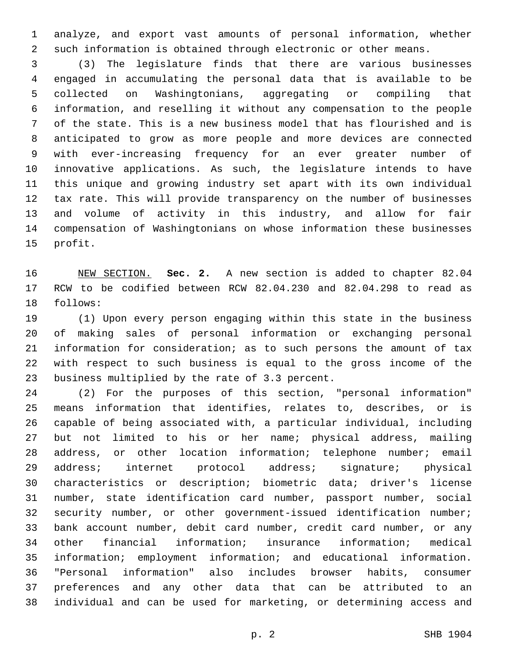analyze, and export vast amounts of personal information, whether such information is obtained through electronic or other means.

 (3) The legislature finds that there are various businesses engaged in accumulating the personal data that is available to be collected on Washingtonians, aggregating or compiling that information, and reselling it without any compensation to the people of the state. This is a new business model that has flourished and is anticipated to grow as more people and more devices are connected with ever-increasing frequency for an ever greater number of innovative applications. As such, the legislature intends to have this unique and growing industry set apart with its own individual tax rate. This will provide transparency on the number of businesses and volume of activity in this industry, and allow for fair compensation of Washingtonians on whose information these businesses 15 profit.

 NEW SECTION. **Sec. 2.** A new section is added to chapter 82.04 RCW to be codified between RCW 82.04.230 and 82.04.298 to read as 18 follows:

 (1) Upon every person engaging within this state in the business of making sales of personal information or exchanging personal information for consideration; as to such persons the amount of tax with respect to such business is equal to the gross income of the 23 business multiplied by the rate of 3.3 percent.

 (2) For the purposes of this section, "personal information" means information that identifies, relates to, describes, or is capable of being associated with, a particular individual, including but not limited to his or her name; physical address, mailing address, or other location information; telephone number; email address; internet protocol address; signature; physical characteristics or description; biometric data; driver's license number, state identification card number, passport number, social security number, or other government-issued identification number; bank account number, debit card number, credit card number, or any other financial information; insurance information; medical information; employment information; and educational information. "Personal information" also includes browser habits, consumer preferences and any other data that can be attributed to an individual and can be used for marketing, or determining access and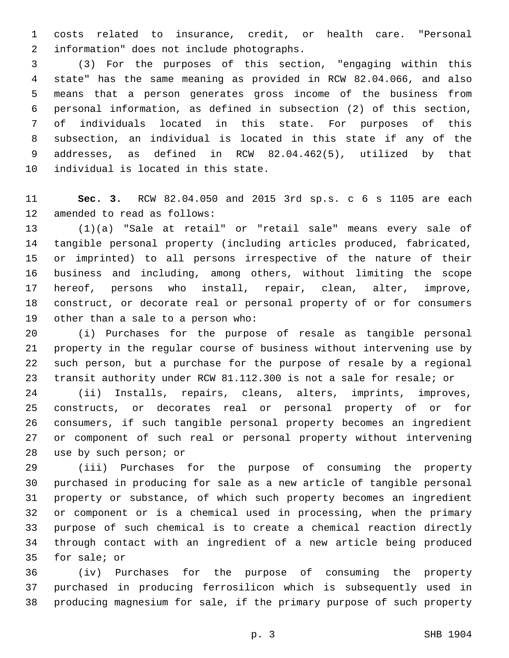costs related to insurance, credit, or health care. "Personal 2 information" does not include photographs.

 (3) For the purposes of this section, "engaging within this state" has the same meaning as provided in RCW 82.04.066, and also means that a person generates gross income of the business from personal information, as defined in subsection (2) of this section, of individuals located in this state. For purposes of this subsection, an individual is located in this state if any of the addresses, as defined in RCW 82.04.462(5), utilized by that 10 individual is located in this state.

 **Sec. 3.** RCW 82.04.050 and 2015 3rd sp.s. c 6 s 1105 are each 12 amended to read as follows:

 (1)(a) "Sale at retail" or "retail sale" means every sale of tangible personal property (including articles produced, fabricated, or imprinted) to all persons irrespective of the nature of their business and including, among others, without limiting the scope hereof, persons who install, repair, clean, alter, improve, construct, or decorate real or personal property of or for consumers 19 other than a sale to a person who:

 (i) Purchases for the purpose of resale as tangible personal property in the regular course of business without intervening use by such person, but a purchase for the purpose of resale by a regional transit authority under RCW 81.112.300 is not a sale for resale; or

 (ii) Installs, repairs, cleans, alters, imprints, improves, constructs, or decorates real or personal property of or for consumers, if such tangible personal property becomes an ingredient or component of such real or personal property without intervening 28 use by such person; or

 (iii) Purchases for the purpose of consuming the property purchased in producing for sale as a new article of tangible personal property or substance, of which such property becomes an ingredient or component or is a chemical used in processing, when the primary purpose of such chemical is to create a chemical reaction directly through contact with an ingredient of a new article being produced 35 for sale; or

 (iv) Purchases for the purpose of consuming the property purchased in producing ferrosilicon which is subsequently used in producing magnesium for sale, if the primary purpose of such property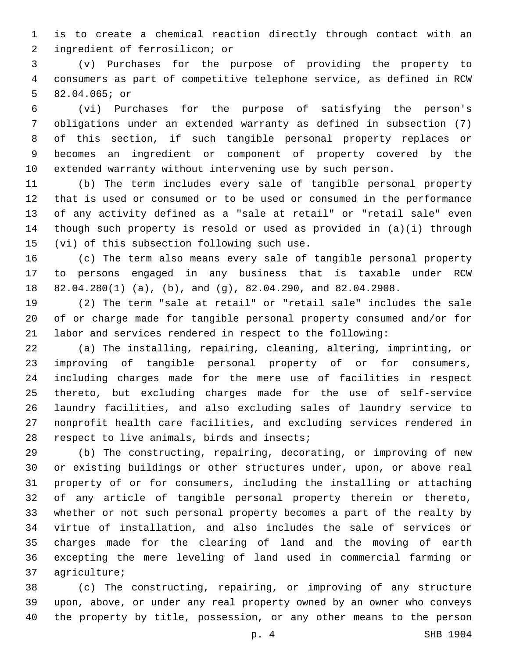is to create a chemical reaction directly through contact with an 2 ingredient of ferrosilicon; or

 (v) Purchases for the purpose of providing the property to consumers as part of competitive telephone service, as defined in RCW 5 82.04.065; or

 (vi) Purchases for the purpose of satisfying the person's obligations under an extended warranty as defined in subsection (7) of this section, if such tangible personal property replaces or becomes an ingredient or component of property covered by the extended warranty without intervening use by such person.

 (b) The term includes every sale of tangible personal property that is used or consumed or to be used or consumed in the performance of any activity defined as a "sale at retail" or "retail sale" even though such property is resold or used as provided in (a)(i) through 15 (vi) of this subsection following such use.

 (c) The term also means every sale of tangible personal property to persons engaged in any business that is taxable under RCW 82.04.280(1) (a), (b), and (g), 82.04.290, and 82.04.2908.

 (2) The term "sale at retail" or "retail sale" includes the sale of or charge made for tangible personal property consumed and/or for labor and services rendered in respect to the following:

 (a) The installing, repairing, cleaning, altering, imprinting, or improving of tangible personal property of or for consumers, including charges made for the mere use of facilities in respect thereto, but excluding charges made for the use of self-service laundry facilities, and also excluding sales of laundry service to nonprofit health care facilities, and excluding services rendered in 28 respect to live animals, birds and insects;

 (b) The constructing, repairing, decorating, or improving of new or existing buildings or other structures under, upon, or above real property of or for consumers, including the installing or attaching of any article of tangible personal property therein or thereto, whether or not such personal property becomes a part of the realty by virtue of installation, and also includes the sale of services or charges made for the clearing of land and the moving of earth excepting the mere leveling of land used in commercial farming or 37 agriculture;

 (c) The constructing, repairing, or improving of any structure upon, above, or under any real property owned by an owner who conveys the property by title, possession, or any other means to the person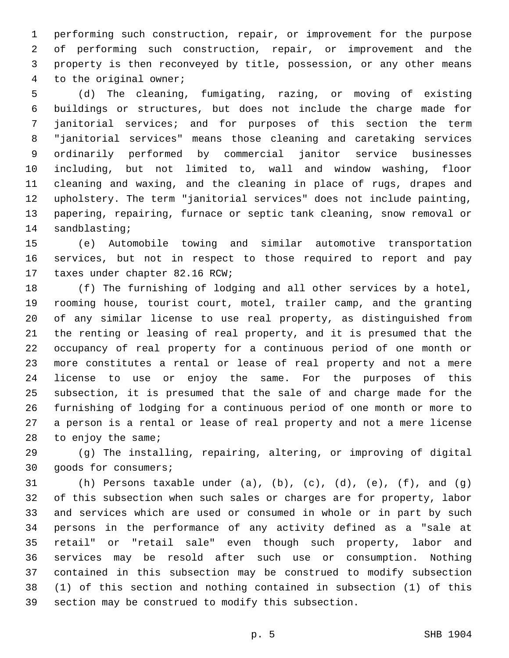performing such construction, repair, or improvement for the purpose of performing such construction, repair, or improvement and the property is then reconveyed by title, possession, or any other means 4 to the original owner;

 (d) The cleaning, fumigating, razing, or moving of existing buildings or structures, but does not include the charge made for janitorial services; and for purposes of this section the term "janitorial services" means those cleaning and caretaking services ordinarily performed by commercial janitor service businesses including, but not limited to, wall and window washing, floor cleaning and waxing, and the cleaning in place of rugs, drapes and upholstery. The term "janitorial services" does not include painting, papering, repairing, furnace or septic tank cleaning, snow removal or 14 sandblasting;

 (e) Automobile towing and similar automotive transportation services, but not in respect to those required to report and pay 17 taxes under chapter 82.16 RCW;

 (f) The furnishing of lodging and all other services by a hotel, rooming house, tourist court, motel, trailer camp, and the granting of any similar license to use real property, as distinguished from the renting or leasing of real property, and it is presumed that the occupancy of real property for a continuous period of one month or more constitutes a rental or lease of real property and not a mere license to use or enjoy the same. For the purposes of this subsection, it is presumed that the sale of and charge made for the furnishing of lodging for a continuous period of one month or more to a person is a rental or lease of real property and not a mere license to enjoy the same;

 (g) The installing, repairing, altering, or improving of digital 30 goods for consumers;

 (h) Persons taxable under (a), (b), (c), (d), (e), (f), and (g) of this subsection when such sales or charges are for property, labor and services which are used or consumed in whole or in part by such persons in the performance of any activity defined as a "sale at retail" or "retail sale" even though such property, labor and services may be resold after such use or consumption. Nothing contained in this subsection may be construed to modify subsection (1) of this section and nothing contained in subsection (1) of this section may be construed to modify this subsection.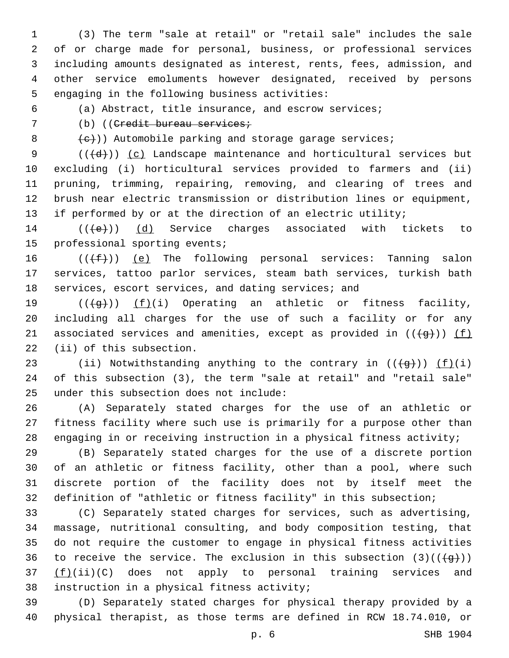(3) The term "sale at retail" or "retail sale" includes the sale of or charge made for personal, business, or professional services including amounts designated as interest, rents, fees, admission, and other service emoluments however designated, received by persons 5 engaging in the following business activities:

6 (a) Abstract, title insurance, and escrow services;

7 (b) ((Credit bureau services;

 $\{e\}$ )) Automobile parking and storage garage services;

 $((\{d\}))(c)$  Landscape maintenance and horticultural services but excluding (i) horticultural services provided to farmers and (ii) pruning, trimming, repairing, removing, and clearing of trees and brush near electric transmission or distribution lines or equipment, 13 if performed by or at the direction of an electric utility;

14 (((e)) (d) Service charges associated with tickets to 15 professional sporting events;

16  $((\text{+f-}))(e)$  The following personal services: Tanning salon 17 services, tattoo parlor services, steam bath services, turkish bath 18 services, escort services, and dating services; and

19  $((+g+))$   $(f)(i)$  Operating an athletic or fitness facility, 20 including all charges for the use of such a facility or for any 21 associated services and amenities, except as provided in  $((+g+))$  (f) 22 (ii) of this subsection.

23 (ii) Notwithstanding anything to the contrary in  $((+g+))$   $(f)(i)$ 24 of this subsection (3), the term "sale at retail" and "retail sale" 25 under this subsection does not include:

26 (A) Separately stated charges for the use of an athletic or 27 fitness facility where such use is primarily for a purpose other than 28 engaging in or receiving instruction in a physical fitness activity;

 (B) Separately stated charges for the use of a discrete portion of an athletic or fitness facility, other than a pool, where such discrete portion of the facility does not by itself meet the definition of "athletic or fitness facility" in this subsection;

 (C) Separately stated charges for services, such as advertising, massage, nutritional consulting, and body composition testing, that do not require the customer to engage in physical fitness activities 36 to receive the service. The exclusion in this subsection  $(3)((\{g\}))$  $(f)(ii)(C)$  does not apply to personal training services and 38 instruction in a physical fitness activity;

39 (D) Separately stated charges for physical therapy provided by a 40 physical therapist, as those terms are defined in RCW 18.74.010, or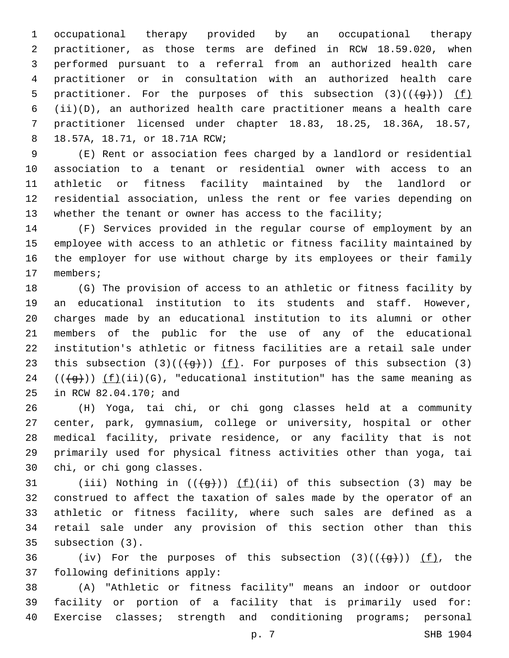occupational therapy provided by an occupational therapy practitioner, as those terms are defined in RCW 18.59.020, when performed pursuant to a referral from an authorized health care practitioner or in consultation with an authorized health care 5 practitioner. For the purposes of this subsection  $(3)((\{g\}))$  (f) (ii)(D), an authorized health care practitioner means a health care practitioner licensed under chapter 18.83, 18.25, 18.36A, 18.57, 18.57A, 18.71, or 18.71A RCW;8

 (E) Rent or association fees charged by a landlord or residential association to a tenant or residential owner with access to an athletic or fitness facility maintained by the landlord or residential association, unless the rent or fee varies depending on 13 whether the tenant or owner has access to the facility;

 (F) Services provided in the regular course of employment by an employee with access to an athletic or fitness facility maintained by the employer for use without charge by its employees or their family 17 members;

 (G) The provision of access to an athletic or fitness facility by an educational institution to its students and staff. However, charges made by an educational institution to its alumni or other members of the public for the use of any of the educational institution's athletic or fitness facilities are a retail sale under 23 this subsection  $(3)((\{g\}))$  (f). For purposes of this subsection (3)  $((\overline{g})) (f)(ii)(G)$ , "educational institution" has the same meaning as 25 in RCW 82.04.170; and

 (H) Yoga, tai chi, or chi gong classes held at a community center, park, gymnasium, college or university, hospital or other medical facility, private residence, or any facility that is not primarily used for physical fitness activities other than yoga, tai 30 chi, or chi gong classes.

31 (iii) Nothing in  $((+g+))$  (f)(ii) of this subsection (3) may be construed to affect the taxation of sales made by the operator of an athletic or fitness facility, where such sales are defined as a retail sale under any provision of this section other than this 35 subsection (3).

36 (iv) For the purposes of this subsection  $(3)((\{g\}))$  (f), the 37 following definitions apply:

 (A) "Athletic or fitness facility" means an indoor or outdoor facility or portion of a facility that is primarily used for: Exercise classes; strength and conditioning programs; personal

p. 7 SHB 1904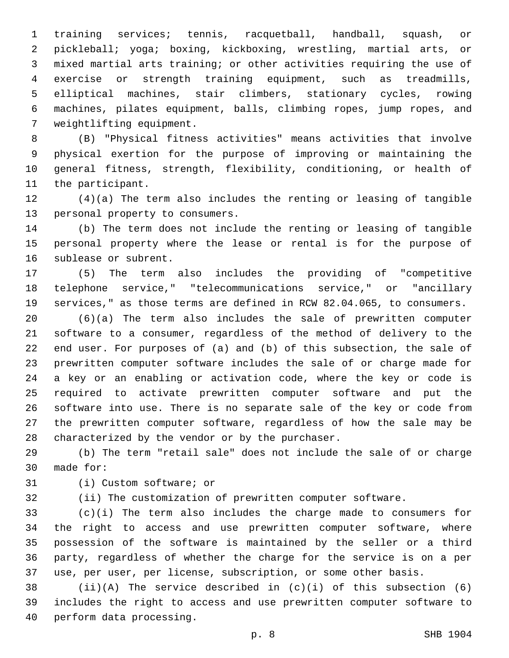training services; tennis, racquetball, handball, squash, or pickleball; yoga; boxing, kickboxing, wrestling, martial arts, or mixed martial arts training; or other activities requiring the use of exercise or strength training equipment, such as treadmills, elliptical machines, stair climbers, stationary cycles, rowing machines, pilates equipment, balls, climbing ropes, jump ropes, and 7 weightlifting equipment.

 (B) "Physical fitness activities" means activities that involve physical exertion for the purpose of improving or maintaining the general fitness, strength, flexibility, conditioning, or health of 11 the participant.

 (4)(a) The term also includes the renting or leasing of tangible 13 personal property to consumers.

 (b) The term does not include the renting or leasing of tangible personal property where the lease or rental is for the purpose of 16 sublease or subrent.

 (5) The term also includes the providing of "competitive telephone service," "telecommunications service," or "ancillary services," as those terms are defined in RCW 82.04.065, to consumers.

 (6)(a) The term also includes the sale of prewritten computer software to a consumer, regardless of the method of delivery to the end user. For purposes of (a) and (b) of this subsection, the sale of prewritten computer software includes the sale of or charge made for a key or an enabling or activation code, where the key or code is required to activate prewritten computer software and put the software into use. There is no separate sale of the key or code from the prewritten computer software, regardless of how the sale may be 28 characterized by the vendor or by the purchaser.

 (b) The term "retail sale" does not include the sale of or charge 30 made for:

31 (i) Custom software; or

(ii) The customization of prewritten computer software.

 (c)(i) The term also includes the charge made to consumers for the right to access and use prewritten computer software, where possession of the software is maintained by the seller or a third party, regardless of whether the charge for the service is on a per use, per user, per license, subscription, or some other basis.

 (ii)(A) The service described in (c)(i) of this subsection (6) includes the right to access and use prewritten computer software to 40 perform data processing.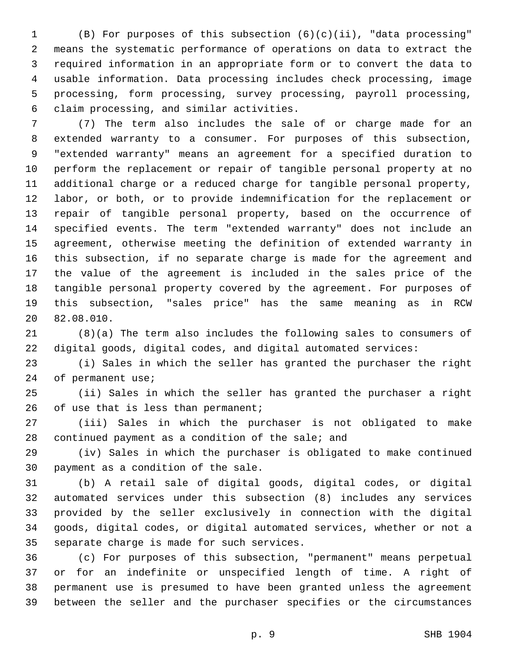(B) For purposes of this subsection (6)(c)(ii), "data processing" means the systematic performance of operations on data to extract the required information in an appropriate form or to convert the data to usable information. Data processing includes check processing, image processing, form processing, survey processing, payroll processing, claim processing, and similar activities.6

 (7) The term also includes the sale of or charge made for an extended warranty to a consumer. For purposes of this subsection, "extended warranty" means an agreement for a specified duration to perform the replacement or repair of tangible personal property at no additional charge or a reduced charge for tangible personal property, labor, or both, or to provide indemnification for the replacement or repair of tangible personal property, based on the occurrence of specified events. The term "extended warranty" does not include an agreement, otherwise meeting the definition of extended warranty in this subsection, if no separate charge is made for the agreement and the value of the agreement is included in the sales price of the tangible personal property covered by the agreement. For purposes of this subsection, "sales price" has the same meaning as in RCW 20 82.08.010.

 (8)(a) The term also includes the following sales to consumers of digital goods, digital codes, and digital automated services:

 (i) Sales in which the seller has granted the purchaser the right 24 of permanent use;

 (ii) Sales in which the seller has granted the purchaser a right 26 of use that is less than permanent;

 (iii) Sales in which the purchaser is not obligated to make 28 continued payment as a condition of the sale; and

 (iv) Sales in which the purchaser is obligated to make continued 30 payment as a condition of the sale.

 (b) A retail sale of digital goods, digital codes, or digital automated services under this subsection (8) includes any services provided by the seller exclusively in connection with the digital goods, digital codes, or digital automated services, whether or not a 35 separate charge is made for such services.

 (c) For purposes of this subsection, "permanent" means perpetual or for an indefinite or unspecified length of time. A right of permanent use is presumed to have been granted unless the agreement between the seller and the purchaser specifies or the circumstances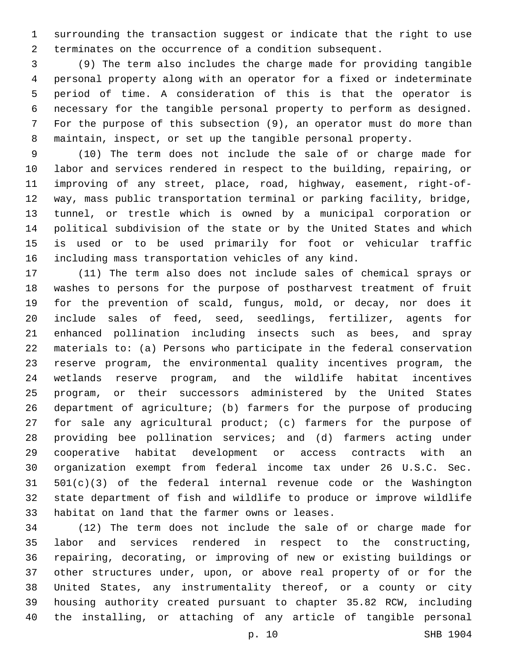surrounding the transaction suggest or indicate that the right to use terminates on the occurrence of a condition subsequent.

 (9) The term also includes the charge made for providing tangible personal property along with an operator for a fixed or indeterminate period of time. A consideration of this is that the operator is necessary for the tangible personal property to perform as designed. For the purpose of this subsection (9), an operator must do more than maintain, inspect, or set up the tangible personal property.

 (10) The term does not include the sale of or charge made for labor and services rendered in respect to the building, repairing, or improving of any street, place, road, highway, easement, right-of- way, mass public transportation terminal or parking facility, bridge, tunnel, or trestle which is owned by a municipal corporation or political subdivision of the state or by the United States and which is used or to be used primarily for foot or vehicular traffic including mass transportation vehicles of any kind.

 (11) The term also does not include sales of chemical sprays or washes to persons for the purpose of postharvest treatment of fruit for the prevention of scald, fungus, mold, or decay, nor does it include sales of feed, seed, seedlings, fertilizer, agents for enhanced pollination including insects such as bees, and spray materials to: (a) Persons who participate in the federal conservation reserve program, the environmental quality incentives program, the wetlands reserve program, and the wildlife habitat incentives program, or their successors administered by the United States department of agriculture; (b) farmers for the purpose of producing for sale any agricultural product; (c) farmers for the purpose of providing bee pollination services; and (d) farmers acting under cooperative habitat development or access contracts with an organization exempt from federal income tax under 26 U.S.C. Sec. 501(c)(3) of the federal internal revenue code or the Washington state department of fish and wildlife to produce or improve wildlife 33 habitat on land that the farmer owns or leases.

 (12) The term does not include the sale of or charge made for labor and services rendered in respect to the constructing, repairing, decorating, or improving of new or existing buildings or other structures under, upon, or above real property of or for the United States, any instrumentality thereof, or a county or city housing authority created pursuant to chapter 35.82 RCW, including the installing, or attaching of any article of tangible personal

p. 10 SHB 1904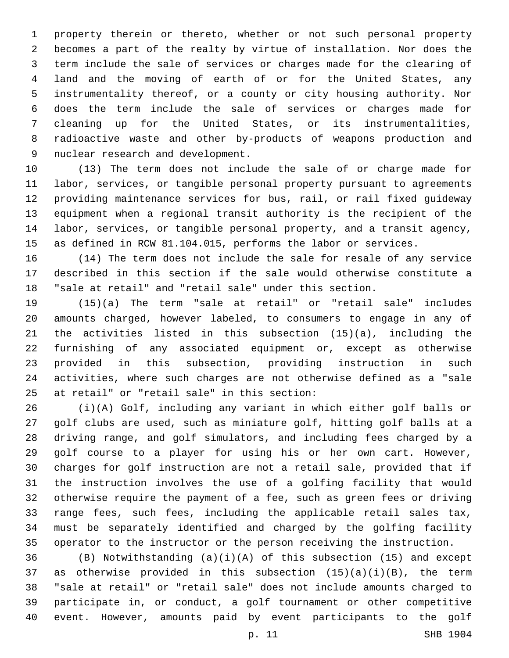property therein or thereto, whether or not such personal property becomes a part of the realty by virtue of installation. Nor does the term include the sale of services or charges made for the clearing of land and the moving of earth of or for the United States, any instrumentality thereof, or a county or city housing authority. Nor does the term include the sale of services or charges made for cleaning up for the United States, or its instrumentalities, radioactive waste and other by-products of weapons production and 9 nuclear research and development.

 (13) The term does not include the sale of or charge made for labor, services, or tangible personal property pursuant to agreements providing maintenance services for bus, rail, or rail fixed guideway equipment when a regional transit authority is the recipient of the labor, services, or tangible personal property, and a transit agency, as defined in RCW 81.104.015, performs the labor or services.

 (14) The term does not include the sale for resale of any service described in this section if the sale would otherwise constitute a "sale at retail" and "retail sale" under this section.

 (15)(a) The term "sale at retail" or "retail sale" includes amounts charged, however labeled, to consumers to engage in any of the activities listed in this subsection (15)(a), including the furnishing of any associated equipment or, except as otherwise provided in this subsection, providing instruction in such activities, where such charges are not otherwise defined as a "sale 25 at retail" or "retail sale" in this section:

 (i)(A) Golf, including any variant in which either golf balls or golf clubs are used, such as miniature golf, hitting golf balls at a driving range, and golf simulators, and including fees charged by a golf course to a player for using his or her own cart. However, charges for golf instruction are not a retail sale, provided that if the instruction involves the use of a golfing facility that would otherwise require the payment of a fee, such as green fees or driving range fees, such fees, including the applicable retail sales tax, must be separately identified and charged by the golfing facility operator to the instructor or the person receiving the instruction.

 (B) Notwithstanding (a)(i)(A) of this subsection (15) and except as otherwise provided in this subsection (15)(a)(i)(B), the term "sale at retail" or "retail sale" does not include amounts charged to participate in, or conduct, a golf tournament or other competitive event. However, amounts paid by event participants to the golf

p. 11 SHB 1904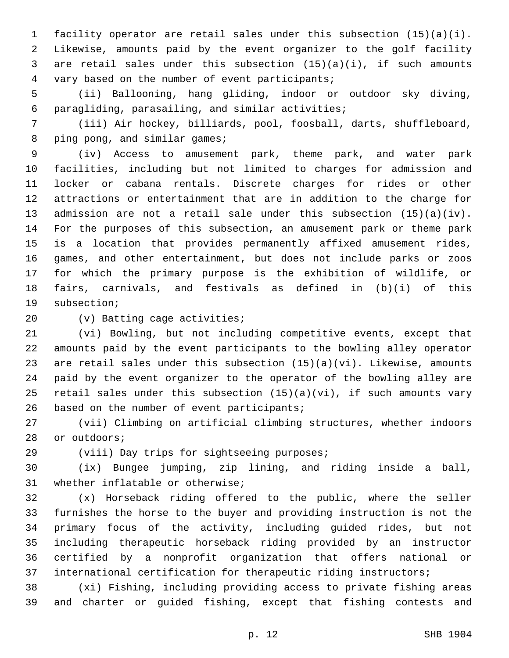facility operator are retail sales under this subsection (15)(a)(i). Likewise, amounts paid by the event organizer to the golf facility are retail sales under this subsection (15)(a)(i), if such amounts 4 vary based on the number of event participants;

 (ii) Ballooning, hang gliding, indoor or outdoor sky diving, paragliding, parasailing, and similar activities;6

 (iii) Air hockey, billiards, pool, foosball, darts, shuffleboard, 8 ping pong, and similar games;

 (iv) Access to amusement park, theme park, and water park facilities, including but not limited to charges for admission and locker or cabana rentals. Discrete charges for rides or other attractions or entertainment that are in addition to the charge for admission are not a retail sale under this subsection (15)(a)(iv). For the purposes of this subsection, an amusement park or theme park is a location that provides permanently affixed amusement rides, games, and other entertainment, but does not include parks or zoos for which the primary purpose is the exhibition of wildlife, or fairs, carnivals, and festivals as defined in (b)(i) of this 19 subsection;

20 (v) Batting cage activities;

 (vi) Bowling, but not including competitive events, except that amounts paid by the event participants to the bowling alley operator are retail sales under this subsection (15)(a)(vi). Likewise, amounts paid by the event organizer to the operator of the bowling alley are retail sales under this subsection (15)(a)(vi), if such amounts vary 26 based on the number of event participants;

 (vii) Climbing on artificial climbing structures, whether indoors 28 or outdoors;

29 (viii) Day trips for sightseeing purposes;

 (ix) Bungee jumping, zip lining, and riding inside a ball, 31 whether inflatable or otherwise;

 (x) Horseback riding offered to the public, where the seller furnishes the horse to the buyer and providing instruction is not the primary focus of the activity, including guided rides, but not including therapeutic horseback riding provided by an instructor certified by a nonprofit organization that offers national or 37 international certification for therapeutic riding instructors;

 (xi) Fishing, including providing access to private fishing areas and charter or guided fishing, except that fishing contests and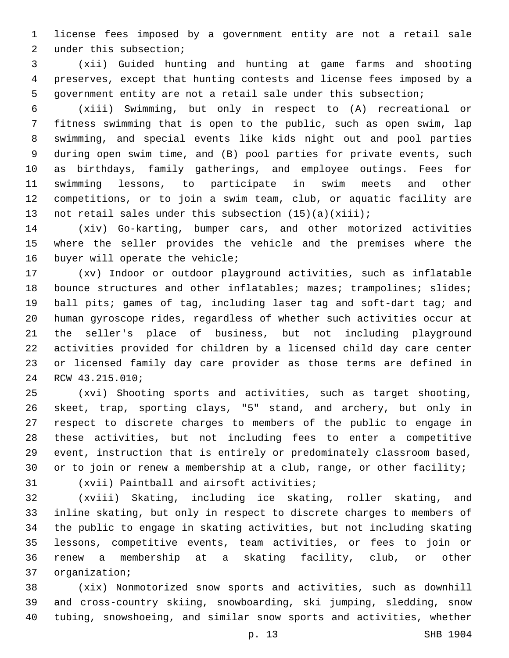license fees imposed by a government entity are not a retail sale 2 under this subsection;

 (xii) Guided hunting and hunting at game farms and shooting preserves, except that hunting contests and license fees imposed by a government entity are not a retail sale under this subsection;

 (xiii) Swimming, but only in respect to (A) recreational or fitness swimming that is open to the public, such as open swim, lap swimming, and special events like kids night out and pool parties during open swim time, and (B) pool parties for private events, such as birthdays, family gatherings, and employee outings. Fees for swimming lessons, to participate in swim meets and other competitions, or to join a swim team, club, or aquatic facility are 13 not retail sales under this subsection (15)(a)(xiii);

 (xiv) Go-karting, bumper cars, and other motorized activities where the seller provides the vehicle and the premises where the 16 buyer will operate the vehicle;

 (xv) Indoor or outdoor playground activities, such as inflatable 18 bounce structures and other inflatables; mazes; trampolines; slides; ball pits; games of tag, including laser tag and soft-dart tag; and human gyroscope rides, regardless of whether such activities occur at the seller's place of business, but not including playground activities provided for children by a licensed child day care center or licensed family day care provider as those terms are defined in 24 RCW 43.215.010;

 (xvi) Shooting sports and activities, such as target shooting, skeet, trap, sporting clays, "5" stand, and archery, but only in respect to discrete charges to members of the public to engage in these activities, but not including fees to enter a competitive event, instruction that is entirely or predominately classroom based, or to join or renew a membership at a club, range, or other facility;

31 (xvii) Paintball and airsoft activities;

 (xviii) Skating, including ice skating, roller skating, and inline skating, but only in respect to discrete charges to members of the public to engage in skating activities, but not including skating lessons, competitive events, team activities, or fees to join or renew a membership at a skating facility, club, or other 37 organization;

 (xix) Nonmotorized snow sports and activities, such as downhill and cross-country skiing, snowboarding, ski jumping, sledding, snow tubing, snowshoeing, and similar snow sports and activities, whether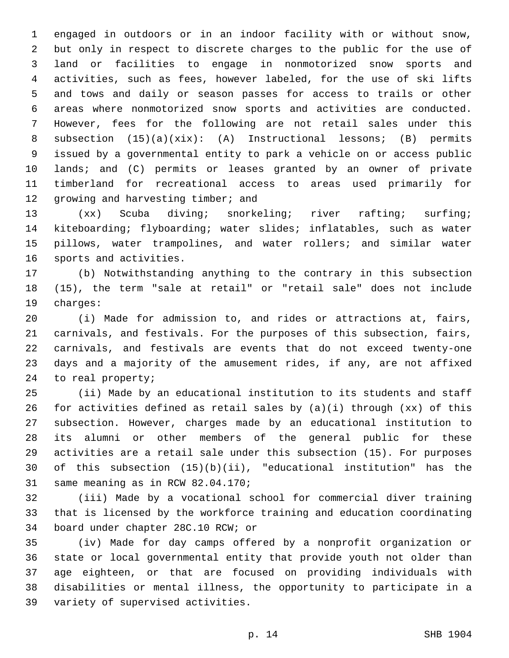engaged in outdoors or in an indoor facility with or without snow, but only in respect to discrete charges to the public for the use of land or facilities to engage in nonmotorized snow sports and activities, such as fees, however labeled, for the use of ski lifts and tows and daily or season passes for access to trails or other areas where nonmotorized snow sports and activities are conducted. However, fees for the following are not retail sales under this subsection (15)(a)(xix): (A) Instructional lessons; (B) permits issued by a governmental entity to park a vehicle on or access public lands; and (C) permits or leases granted by an owner of private timberland for recreational access to areas used primarily for 12 growing and harvesting timber; and

 (xx) Scuba diving; snorkeling; river rafting; surfing; kiteboarding; flyboarding; water slides; inflatables, such as water pillows, water trampolines, and water rollers; and similar water 16 sports and activities.

 (b) Notwithstanding anything to the contrary in this subsection (15), the term "sale at retail" or "retail sale" does not include 19 charges:

 (i) Made for admission to, and rides or attractions at, fairs, carnivals, and festivals. For the purposes of this subsection, fairs, carnivals, and festivals are events that do not exceed twenty-one days and a majority of the amusement rides, if any, are not affixed 24 to real property;

 (ii) Made by an educational institution to its students and staff for activities defined as retail sales by (a)(i) through (xx) of this subsection. However, charges made by an educational institution to its alumni or other members of the general public for these activities are a retail sale under this subsection (15). For purposes of this subsection (15)(b)(ii), "educational institution" has the 31 same meaning as in RCW 82.04.170;

 (iii) Made by a vocational school for commercial diver training that is licensed by the workforce training and education coordinating 34 board under chapter 28C.10 RCW; or

 (iv) Made for day camps offered by a nonprofit organization or state or local governmental entity that provide youth not older than age eighteen, or that are focused on providing individuals with disabilities or mental illness, the opportunity to participate in a 39 variety of supervised activities.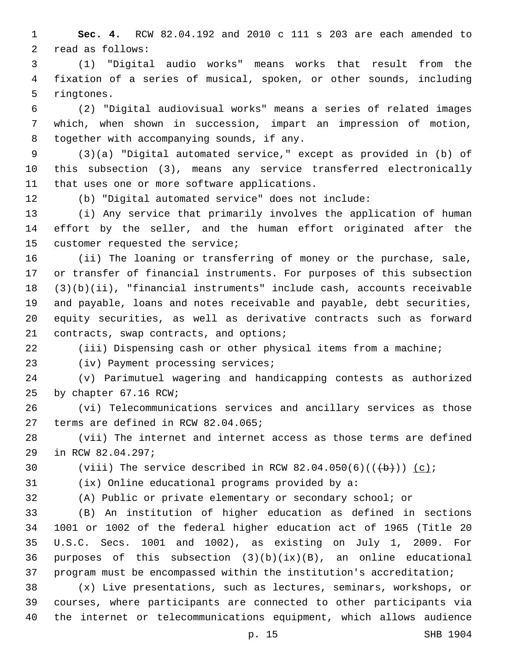**Sec. 4.** RCW 82.04.192 and 2010 c 111 s 203 are each amended to 2 read as follows:

 (1) "Digital audio works" means works that result from the fixation of a series of musical, spoken, or other sounds, including 5 ringtones.

 (2) "Digital audiovisual works" means a series of related images which, when shown in succession, impart an impression of motion, 8 together with accompanying sounds, if any.

 (3)(a) "Digital automated service," except as provided in (b) of this subsection (3), means any service transferred electronically 11 that uses one or more software applications.

(b) "Digital automated service" does not include:

 (i) Any service that primarily involves the application of human effort by the seller, and the human effort originated after the 15 customer requested the service;

 (ii) The loaning or transferring of money or the purchase, sale, or transfer of financial instruments. For purposes of this subsection (3)(b)(ii), "financial instruments" include cash, accounts receivable and payable, loans and notes receivable and payable, debt securities, equity securities, as well as derivative contracts such as forward 21 contracts, swap contracts, and options;

(iii) Dispensing cash or other physical items from a machine;

23 (iv) Payment processing services;

 (v) Parimutuel wagering and handicapping contests as authorized 25 by chapter 67.16 RCW;

 (vi) Telecommunications services and ancillary services as those 27 terms are defined in RCW 82.04.065;

 (vii) The internet and internet access as those terms are defined 29 in RCW 82.04.297;

30 (viii) The service described in RCW  $82.04.050(6)((+b))$  (c);

(ix) Online educational programs provided by a:

(A) Public or private elementary or secondary school; or

 (B) An institution of higher education as defined in sections 1001 or 1002 of the federal higher education act of 1965 (Title 20 U.S.C. Secs. 1001 and 1002), as existing on July 1, 2009. For purposes of this subsection (3)(b)(ix)(B), an online educational program must be encompassed within the institution's accreditation;

 (x) Live presentations, such as lectures, seminars, workshops, or courses, where participants are connected to other participants via the internet or telecommunications equipment, which allows audience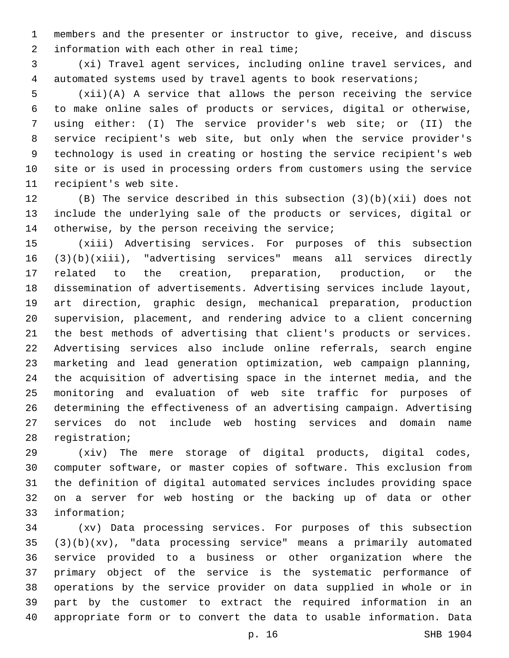members and the presenter or instructor to give, receive, and discuss 2 information with each other in real time;

 (xi) Travel agent services, including online travel services, and automated systems used by travel agents to book reservations;

 (xii)(A) A service that allows the person receiving the service to make online sales of products or services, digital or otherwise, using either: (I) The service provider's web site; or (II) the service recipient's web site, but only when the service provider's technology is used in creating or hosting the service recipient's web site or is used in processing orders from customers using the service 11 recipient's web site.

 (B) The service described in this subsection (3)(b)(xii) does not include the underlying sale of the products or services, digital or 14 otherwise, by the person receiving the service;

 (xiii) Advertising services. For purposes of this subsection (3)(b)(xiii), "advertising services" means all services directly related to the creation, preparation, production, or the dissemination of advertisements. Advertising services include layout, art direction, graphic design, mechanical preparation, production supervision, placement, and rendering advice to a client concerning the best methods of advertising that client's products or services. Advertising services also include online referrals, search engine marketing and lead generation optimization, web campaign planning, the acquisition of advertising space in the internet media, and the monitoring and evaluation of web site traffic for purposes of determining the effectiveness of an advertising campaign. Advertising services do not include web hosting services and domain name 28 registration;

 (xiv) The mere storage of digital products, digital codes, computer software, or master copies of software. This exclusion from the definition of digital automated services includes providing space on a server for web hosting or the backing up of data or other 33 information;

 (xv) Data processing services. For purposes of this subsection (3)(b)(xv), "data processing service" means a primarily automated service provided to a business or other organization where the primary object of the service is the systematic performance of operations by the service provider on data supplied in whole or in part by the customer to extract the required information in an appropriate form or to convert the data to usable information. Data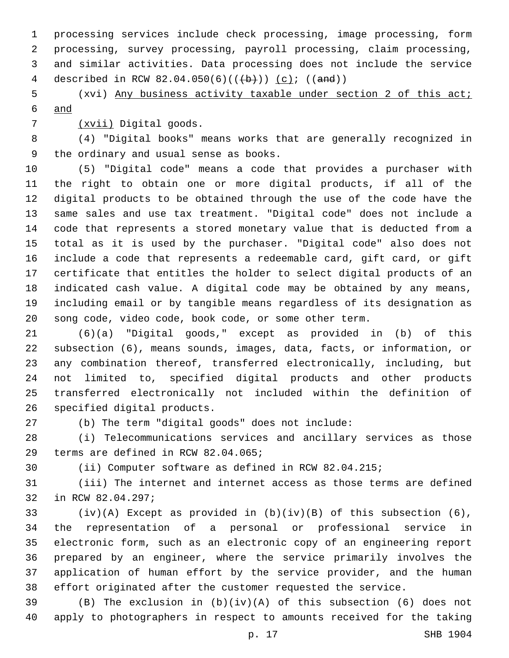processing services include check processing, image processing, form processing, survey processing, payroll processing, claim processing, and similar activities. Data processing does not include the service 4 described in RCW 82.04.050(6)( $(\frac{b}{b})$ ) (c); ((and))

 (xvi) Any business activity taxable under section 2 of this act; and

(xvii) Digital goods.7

 (4) "Digital books" means works that are generally recognized in 9 the ordinary and usual sense as books.

 (5) "Digital code" means a code that provides a purchaser with the right to obtain one or more digital products, if all of the digital products to be obtained through the use of the code have the same sales and use tax treatment. "Digital code" does not include a code that represents a stored monetary value that is deducted from a total as it is used by the purchaser. "Digital code" also does not include a code that represents a redeemable card, gift card, or gift certificate that entitles the holder to select digital products of an indicated cash value. A digital code may be obtained by any means, including email or by tangible means regardless of its designation as song code, video code, book code, or some other term.

 (6)(a) "Digital goods," except as provided in (b) of this subsection (6), means sounds, images, data, facts, or information, or any combination thereof, transferred electronically, including, but not limited to, specified digital products and other products transferred electronically not included within the definition of 26 specified digital products.

(b) The term "digital goods" does not include:

 (i) Telecommunications services and ancillary services as those 29 terms are defined in RCW 82.04.065;

(ii) Computer software as defined in RCW 82.04.215;

 (iii) The internet and internet access as those terms are defined 32 in RCW 82.04.297;

 (iv)(A) Except as provided in (b)(iv)(B) of this subsection (6), the representation of a personal or professional service in electronic form, such as an electronic copy of an engineering report prepared by an engineer, where the service primarily involves the application of human effort by the service provider, and the human effort originated after the customer requested the service.

 (B) The exclusion in (b)(iv)(A) of this subsection (6) does not apply to photographers in respect to amounts received for the taking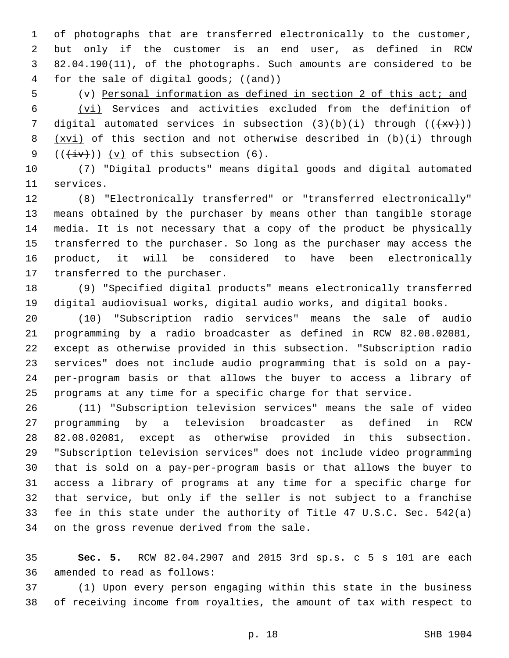of photographs that are transferred electronically to the customer, but only if the customer is an end user, as defined in RCW 82.04.190(11), of the photographs. Such amounts are considered to be for the sale of digital goods; ((and))

(v) Personal information as defined in section 2 of this act; and

 (vi) Services and activities excluded from the definition of 7 digital automated services in subsection  $(3)(b)(i)$  through  $((+xy))$  (xvi) of this section and not otherwise described in (b)(i) through  $((\overleftrightarrow{iv}))$   $(v)$  of this subsection (6).

 (7) "Digital products" means digital goods and digital automated 11 services.

 (8) "Electronically transferred" or "transferred electronically" means obtained by the purchaser by means other than tangible storage media. It is not necessary that a copy of the product be physically transferred to the purchaser. So long as the purchaser may access the product, it will be considered to have been electronically 17 transferred to the purchaser.

 (9) "Specified digital products" means electronically transferred digital audiovisual works, digital audio works, and digital books.

 (10) "Subscription radio services" means the sale of audio programming by a radio broadcaster as defined in RCW 82.08.02081, except as otherwise provided in this subsection. "Subscription radio services" does not include audio programming that is sold on a pay- per-program basis or that allows the buyer to access a library of programs at any time for a specific charge for that service.

 (11) "Subscription television services" means the sale of video programming by a television broadcaster as defined in RCW 82.08.02081, except as otherwise provided in this subsection. "Subscription television services" does not include video programming that is sold on a pay-per-program basis or that allows the buyer to access a library of programs at any time for a specific charge for that service, but only if the seller is not subject to a franchise fee in this state under the authority of Title 47 U.S.C. Sec. 542(a) 34 on the gross revenue derived from the sale.

 **Sec. 5.** RCW 82.04.2907 and 2015 3rd sp.s. c 5 s 101 are each 36 amended to read as follows:

 (1) Upon every person engaging within this state in the business of receiving income from royalties, the amount of tax with respect to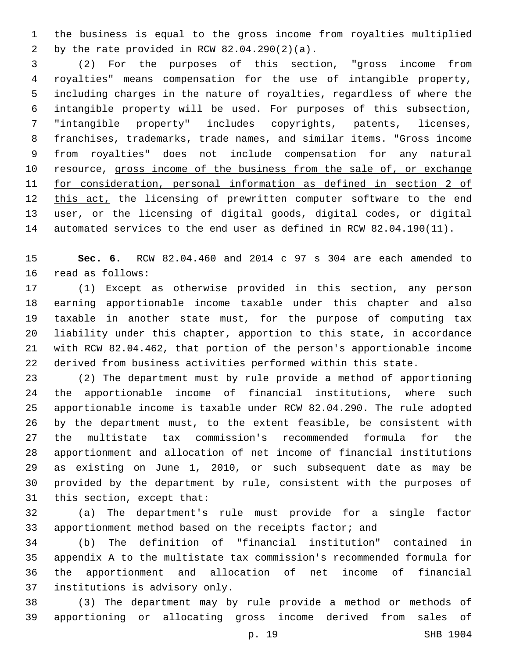the business is equal to the gross income from royalties multiplied 2 by the rate provided in RCW  $82.04.290(2)(a)$ .

 (2) For the purposes of this section, "gross income from royalties" means compensation for the use of intangible property, including charges in the nature of royalties, regardless of where the intangible property will be used. For purposes of this subsection, "intangible property" includes copyrights, patents, licenses, franchises, trademarks, trade names, and similar items. "Gross income from royalties" does not include compensation for any natural 10 resource, gross income of the business from the sale of, or exchange for consideration, personal information as defined in section 2 of 12 this act, the licensing of prewritten computer software to the end user, or the licensing of digital goods, digital codes, or digital automated services to the end user as defined in RCW 82.04.190(11).

 **Sec. 6.** RCW 82.04.460 and 2014 c 97 s 304 are each amended to 16 read as follows:

 (1) Except as otherwise provided in this section, any person earning apportionable income taxable under this chapter and also taxable in another state must, for the purpose of computing tax liability under this chapter, apportion to this state, in accordance with RCW 82.04.462, that portion of the person's apportionable income derived from business activities performed within this state.

 (2) The department must by rule provide a method of apportioning the apportionable income of financial institutions, where such apportionable income is taxable under RCW 82.04.290. The rule adopted by the department must, to the extent feasible, be consistent with the multistate tax commission's recommended formula for the apportionment and allocation of net income of financial institutions as existing on June 1, 2010, or such subsequent date as may be provided by the department by rule, consistent with the purposes of 31 this section, except that:

 (a) The department's rule must provide for a single factor apportionment method based on the receipts factor; and

 (b) The definition of "financial institution" contained in appendix A to the multistate tax commission's recommended formula for the apportionment and allocation of net income of financial 37 institutions is advisory only.

 (3) The department may by rule provide a method or methods of apportioning or allocating gross income derived from sales of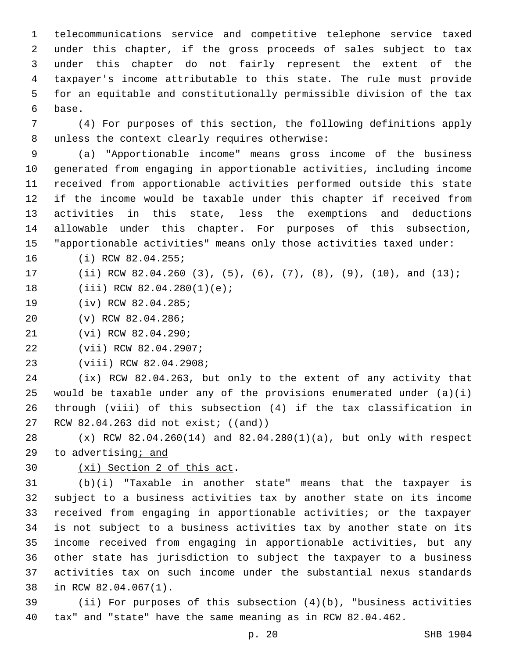telecommunications service and competitive telephone service taxed under this chapter, if the gross proceeds of sales subject to tax under this chapter do not fairly represent the extent of the taxpayer's income attributable to this state. The rule must provide for an equitable and constitutionally permissible division of the tax 6 base.

 (4) For purposes of this section, the following definitions apply 8 unless the context clearly requires otherwise:

 (a) "Apportionable income" means gross income of the business generated from engaging in apportionable activities, including income received from apportionable activities performed outside this state if the income would be taxable under this chapter if received from activities in this state, less the exemptions and deductions allowable under this chapter. For purposes of this subsection, "apportionable activities" means only those activities taxed under:

16 (i) RCW 82.04.255;

(ii) RCW 82.04.260 (3), (5), (6), (7), (8), (9), (10), and (13);

18 (iii) RCW 82.04.280(1)(e);

- 19 (iv) RCW 82.04.285;
- 20 (v) RCW 82.04.286;
- 21 (vi) RCW 82.04.290;
- 22 (vii) RCW 82.04.2907;
- 23 (viii) RCW 82.04.2908;

 (ix) RCW 82.04.263, but only to the extent of any activity that would be taxable under any of the provisions enumerated under (a)(i) through (viii) of this subsection (4) if the tax classification in 27 RCW 82.04.263 did not exist; ((and))

 (x) RCW 82.04.260(14) and 82.04.280(1)(a), but only with respect to advertising; and

## 30  $(xi)$  Section 2 of this act.

 (b)(i) "Taxable in another state" means that the taxpayer is subject to a business activities tax by another state on its income received from engaging in apportionable activities; or the taxpayer is not subject to a business activities tax by another state on its income received from engaging in apportionable activities, but any other state has jurisdiction to subject the taxpayer to a business activities tax on such income under the substantial nexus standards 38 in RCW 82.04.067(1).

 (ii) For purposes of this subsection (4)(b), "business activities tax" and "state" have the same meaning as in RCW 82.04.462.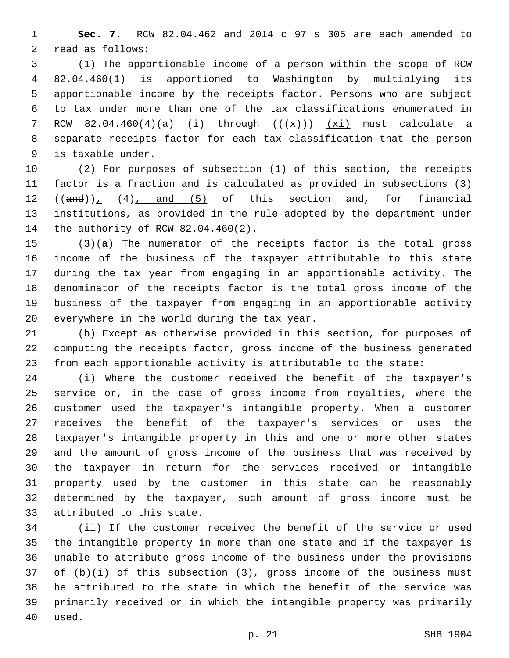**Sec. 7.** RCW 82.04.462 and 2014 c 97 s 305 are each amended to 2 read as follows:

 (1) The apportionable income of a person within the scope of RCW 82.04.460(1) is apportioned to Washington by multiplying its apportionable income by the receipts factor. Persons who are subject to tax under more than one of the tax classifications enumerated in 7 RCW  $82.04.460(4)(a)$  (i) through  $((+x))$  (xi) must calculate a separate receipts factor for each tax classification that the person is taxable under.9

 (2) For purposes of subsection (1) of this section, the receipts factor is a fraction and is calculated as provided in subsections (3)  $((and)), (4), and (5)$  of this section and, for financial institutions, as provided in the rule adopted by the department under 14 the authority of RCW 82.04.460(2).

 (3)(a) The numerator of the receipts factor is the total gross income of the business of the taxpayer attributable to this state during the tax year from engaging in an apportionable activity. The denominator of the receipts factor is the total gross income of the business of the taxpayer from engaging in an apportionable activity 20 everywhere in the world during the tax year.

 (b) Except as otherwise provided in this section, for purposes of computing the receipts factor, gross income of the business generated from each apportionable activity is attributable to the state:

 (i) Where the customer received the benefit of the taxpayer's service or, in the case of gross income from royalties, where the customer used the taxpayer's intangible property. When a customer receives the benefit of the taxpayer's services or uses the taxpayer's intangible property in this and one or more other states and the amount of gross income of the business that was received by the taxpayer in return for the services received or intangible property used by the customer in this state can be reasonably determined by the taxpayer, such amount of gross income must be 33 attributed to this state.

 (ii) If the customer received the benefit of the service or used the intangible property in more than one state and if the taxpayer is unable to attribute gross income of the business under the provisions of (b)(i) of this subsection (3), gross income of the business must be attributed to the state in which the benefit of the service was primarily received or in which the intangible property was primarily 40 used.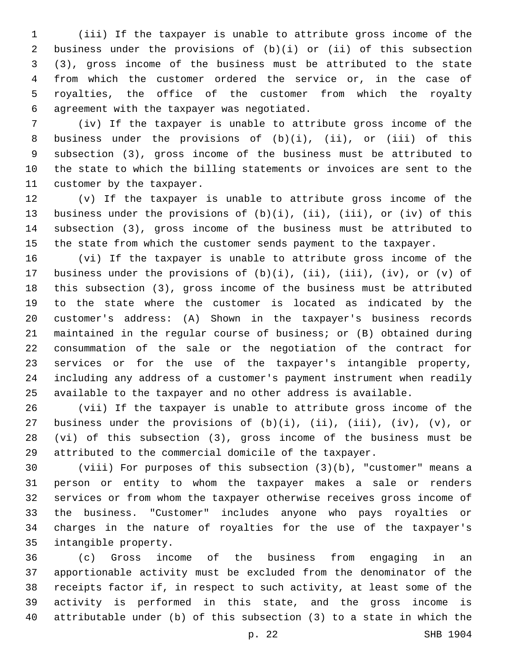(iii) If the taxpayer is unable to attribute gross income of the business under the provisions of (b)(i) or (ii) of this subsection (3), gross income of the business must be attributed to the state from which the customer ordered the service or, in the case of royalties, the office of the customer from which the royalty agreement with the taxpayer was negotiated.6

 (iv) If the taxpayer is unable to attribute gross income of the business under the provisions of (b)(i), (ii), or (iii) of this subsection (3), gross income of the business must be attributed to the state to which the billing statements or invoices are sent to the 11 customer by the taxpayer.

 (v) If the taxpayer is unable to attribute gross income of the business under the provisions of (b)(i), (ii), (iii), or (iv) of this subsection (3), gross income of the business must be attributed to the state from which the customer sends payment to the taxpayer.

 (vi) If the taxpayer is unable to attribute gross income of the business under the provisions of (b)(i), (ii), (iii), (iv), or (v) of this subsection (3), gross income of the business must be attributed to the state where the customer is located as indicated by the customer's address: (A) Shown in the taxpayer's business records maintained in the regular course of business; or (B) obtained during consummation of the sale or the negotiation of the contract for services or for the use of the taxpayer's intangible property, including any address of a customer's payment instrument when readily available to the taxpayer and no other address is available.

 (vii) If the taxpayer is unable to attribute gross income of the business under the provisions of (b)(i), (ii), (iii), (iv), (v), or (vi) of this subsection (3), gross income of the business must be attributed to the commercial domicile of the taxpayer.

 (viii) For purposes of this subsection (3)(b), "customer" means a person or entity to whom the taxpayer makes a sale or renders services or from whom the taxpayer otherwise receives gross income of the business. "Customer" includes anyone who pays royalties or charges in the nature of royalties for the use of the taxpayer's 35 intangible property.

 (c) Gross income of the business from engaging in an apportionable activity must be excluded from the denominator of the receipts factor if, in respect to such activity, at least some of the activity is performed in this state, and the gross income is attributable under (b) of this subsection (3) to a state in which the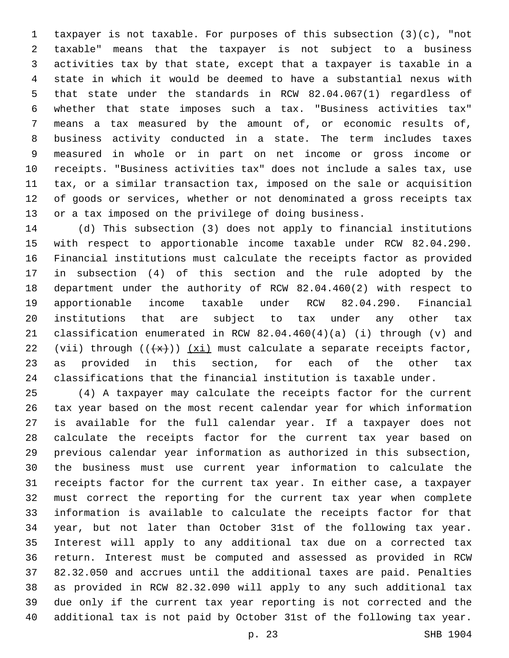taxpayer is not taxable. For purposes of this subsection (3)(c), "not taxable" means that the taxpayer is not subject to a business activities tax by that state, except that a taxpayer is taxable in a state in which it would be deemed to have a substantial nexus with that state under the standards in RCW 82.04.067(1) regardless of whether that state imposes such a tax. "Business activities tax" means a tax measured by the amount of, or economic results of, business activity conducted in a state. The term includes taxes measured in whole or in part on net income or gross income or receipts. "Business activities tax" does not include a sales tax, use tax, or a similar transaction tax, imposed on the sale or acquisition of goods or services, whether or not denominated a gross receipts tax or a tax imposed on the privilege of doing business.

 (d) This subsection (3) does not apply to financial institutions with respect to apportionable income taxable under RCW 82.04.290. Financial institutions must calculate the receipts factor as provided in subsection (4) of this section and the rule adopted by the department under the authority of RCW 82.04.460(2) with respect to apportionable income taxable under RCW 82.04.290. Financial institutions that are subject to tax under any other tax classification enumerated in RCW 82.04.460(4)(a) (i) through (v) and 22 (vii) through  $((+x))$   $(xi)$  must calculate a separate receipts factor, as provided in this section, for each of the other tax classifications that the financial institution is taxable under.

 (4) A taxpayer may calculate the receipts factor for the current tax year based on the most recent calendar year for which information is available for the full calendar year. If a taxpayer does not calculate the receipts factor for the current tax year based on previous calendar year information as authorized in this subsection, the business must use current year information to calculate the receipts factor for the current tax year. In either case, a taxpayer must correct the reporting for the current tax year when complete information is available to calculate the receipts factor for that year, but not later than October 31st of the following tax year. Interest will apply to any additional tax due on a corrected tax return. Interest must be computed and assessed as provided in RCW 82.32.050 and accrues until the additional taxes are paid. Penalties as provided in RCW 82.32.090 will apply to any such additional tax due only if the current tax year reporting is not corrected and the additional tax is not paid by October 31st of the following tax year.

p. 23 SHB 1904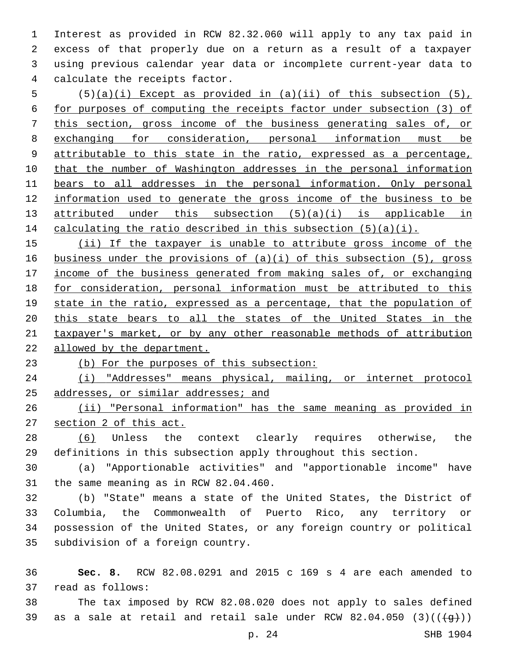Interest as provided in RCW 82.32.060 will apply to any tax paid in excess of that properly due on a return as a result of a taxpayer using previous calendar year data or incomplete current-year data to 4 calculate the receipts factor.

 (5)(a)(i) Except as provided in (a)(ii) of this subsection (5), for purposes of computing the receipts factor under subsection (3) of this section, gross income of the business generating sales of, or exchanging for consideration, personal information must be 9 attributable to this state in the ratio, expressed as a percentage, that the number of Washington addresses in the personal information bears to all addresses in the personal information. Only personal information used to generate the gross income of the business to be 13 attributed under this subsection (5)(a)(i) is applicable in 14 calculating the ratio described in this subsection  $(5)(a)(i)$ .

 (ii) If the taxpayer is unable to attribute gross income of the business under the provisions of (a)(i) of this subsection (5), gross income of the business generated from making sales of, or exchanging for consideration, personal information must be attributed to this 19 state in the ratio, expressed as a percentage, that the population of this state bears to all the states of the United States in the taxpayer's market, or by any other reasonable methods of attribution allowed by the department.

## (b) For the purposes of this subsection:

 (i) "Addresses" means physical, mailing, or internet protocol 25 addresses, or similar addresses; and

 (ii) "Personal information" has the same meaning as provided in section 2 of this act.

 (6) Unless the context clearly requires otherwise, the definitions in this subsection apply throughout this section.

 (a) "Apportionable activities" and "apportionable income" have 31 the same meaning as in RCW 82.04.460.

 (b) "State" means a state of the United States, the District of Columbia, the Commonwealth of Puerto Rico, any territory or possession of the United States, or any foreign country or political 35 subdivision of a foreign country.

 **Sec. 8.** RCW 82.08.0291 and 2015 c 169 s 4 are each amended to read as follows:37

 The tax imposed by RCW 82.08.020 does not apply to sales defined 39 as a sale at retail and retail sale under RCW  $82.04.050$  (3)(( $\left(\frac{4}{9}\right)$ ))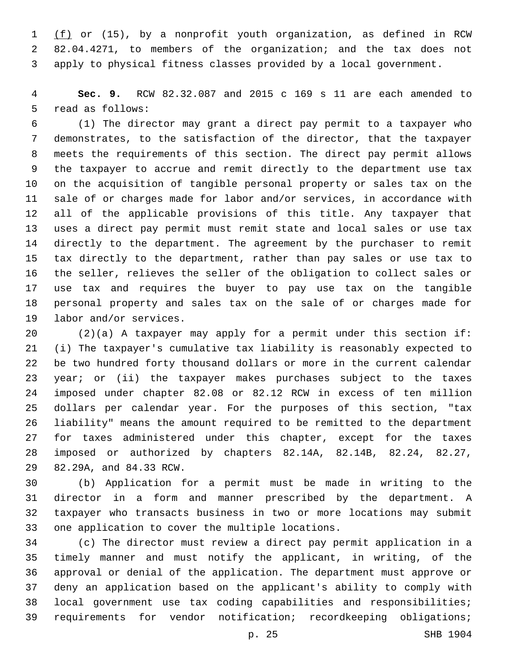1 (f) or (15), by a nonprofit youth organization, as defined in RCW 82.04.4271, to members of the organization; and the tax does not apply to physical fitness classes provided by a local government.

 **Sec. 9.** RCW 82.32.087 and 2015 c 169 s 11 are each amended to 5 read as follows:

 (1) The director may grant a direct pay permit to a taxpayer who demonstrates, to the satisfaction of the director, that the taxpayer meets the requirements of this section. The direct pay permit allows the taxpayer to accrue and remit directly to the department use tax on the acquisition of tangible personal property or sales tax on the sale of or charges made for labor and/or services, in accordance with all of the applicable provisions of this title. Any taxpayer that uses a direct pay permit must remit state and local sales or use tax directly to the department. The agreement by the purchaser to remit tax directly to the department, rather than pay sales or use tax to the seller, relieves the seller of the obligation to collect sales or use tax and requires the buyer to pay use tax on the tangible personal property and sales tax on the sale of or charges made for 19 labor and/or services.

 (2)(a) A taxpayer may apply for a permit under this section if: (i) The taxpayer's cumulative tax liability is reasonably expected to be two hundred forty thousand dollars or more in the current calendar year; or (ii) the taxpayer makes purchases subject to the taxes imposed under chapter 82.08 or 82.12 RCW in excess of ten million dollars per calendar year. For the purposes of this section, "tax liability" means the amount required to be remitted to the department for taxes administered under this chapter, except for the taxes imposed or authorized by chapters 82.14A, 82.14B, 82.24, 82.27, 29 82.29A, and 84.33 RCW.

 (b) Application for a permit must be made in writing to the director in a form and manner prescribed by the department. A taxpayer who transacts business in two or more locations may submit 33 one application to cover the multiple locations.

 (c) The director must review a direct pay permit application in a timely manner and must notify the applicant, in writing, of the approval or denial of the application. The department must approve or deny an application based on the applicant's ability to comply with local government use tax coding capabilities and responsibilities; requirements for vendor notification; recordkeeping obligations;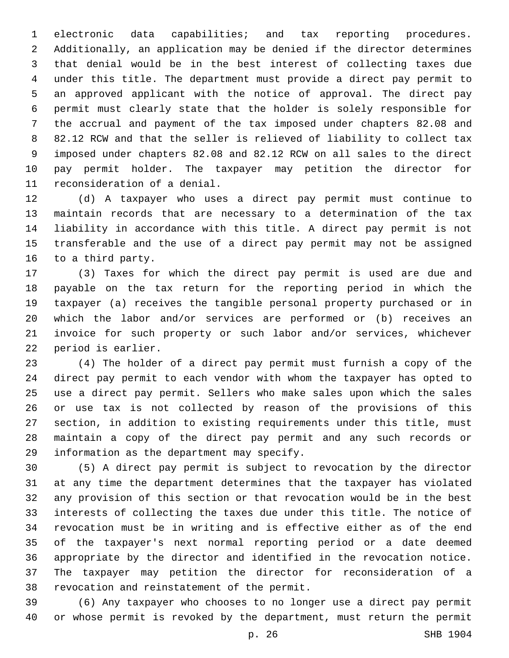electronic data capabilities; and tax reporting procedures. Additionally, an application may be denied if the director determines that denial would be in the best interest of collecting taxes due under this title. The department must provide a direct pay permit to an approved applicant with the notice of approval. The direct pay permit must clearly state that the holder is solely responsible for the accrual and payment of the tax imposed under chapters 82.08 and 82.12 RCW and that the seller is relieved of liability to collect tax imposed under chapters 82.08 and 82.12 RCW on all sales to the direct pay permit holder. The taxpayer may petition the director for 11 reconsideration of a denial.

 (d) A taxpayer who uses a direct pay permit must continue to maintain records that are necessary to a determination of the tax liability in accordance with this title. A direct pay permit is not transferable and the use of a direct pay permit may not be assigned 16 to a third party.

 (3) Taxes for which the direct pay permit is used are due and payable on the tax return for the reporting period in which the taxpayer (a) receives the tangible personal property purchased or in which the labor and/or services are performed or (b) receives an invoice for such property or such labor and/or services, whichever 22 period is earlier.

 (4) The holder of a direct pay permit must furnish a copy of the direct pay permit to each vendor with whom the taxpayer has opted to use a direct pay permit. Sellers who make sales upon which the sales or use tax is not collected by reason of the provisions of this section, in addition to existing requirements under this title, must maintain a copy of the direct pay permit and any such records or 29 information as the department may specify.

 (5) A direct pay permit is subject to revocation by the director at any time the department determines that the taxpayer has violated any provision of this section or that revocation would be in the best interests of collecting the taxes due under this title. The notice of revocation must be in writing and is effective either as of the end of the taxpayer's next normal reporting period or a date deemed appropriate by the director and identified in the revocation notice. The taxpayer may petition the director for reconsideration of a 38 revocation and reinstatement of the permit.

 (6) Any taxpayer who chooses to no longer use a direct pay permit or whose permit is revoked by the department, must return the permit